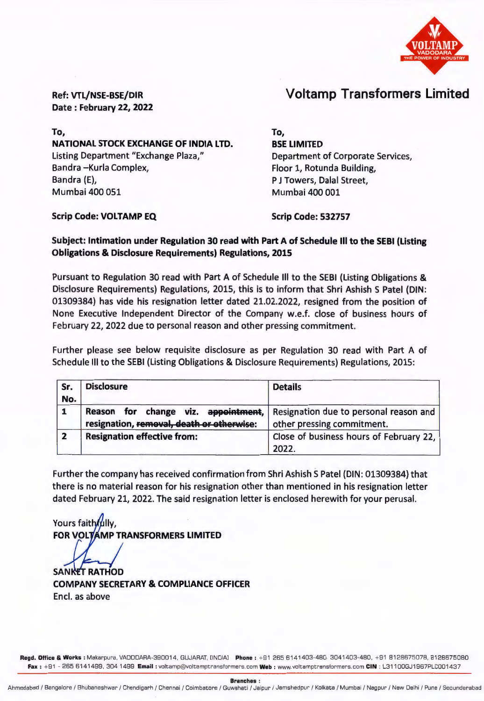

Voltamp Transformers Limited

Ref: VTL/NSE-BSE/DIR Date : February 22, 2022

To, NATIONAL STOCK EXCHANGE OF INDIA LTD. Listing Department "Exchange Plaza," Bandra -Kurla Complex, Bandra (E), Mumbai 400 051

To,

BSE LIMITED Department of Corporate Services, Floor 1, Rotunda Building, P J Towers, Dalal Street, Mumbai 400 001

Scrip Code: VOLTAMP EQ

Scrip Code: 532757

## Subject: Intimation under Regulation 30 read with Part A of Schedule Ill to the SEBI (Listing Obligations & Disclosure Requirements) Regulations, 2015

Pursuant to Regulation 30 read with Part A of Schedule Ill to the SEBI (Listing Obligations & Disclosure Requirements) Regulations, 2015, this is to inform that Shri Ashish S Patel (DIN: 01309384) has vide his resignation letter dated 21.02.2022, resigned from the position of None Executive Independent Director of the Company w.e.f. close of business hours of February 22, 2022 due to personal reason and other pressing commitment.

Further please see below requisite disclosure as per Regulation 30 read with Part A of Schedule Ill to the SEBI (Listing Obligations & Disclosure Requirements) Regulations, 2015:

| Sr.<br>No.     | <b>Disclosure</b>                                                                   | <b>Details</b>                                                       |
|----------------|-------------------------------------------------------------------------------------|----------------------------------------------------------------------|
|                | change viz. appointment,<br>Reason for<br>resignation, removal, death or otherwise: | Resignation due to personal reason and<br>other pressing commitment. |
| $\overline{2}$ | <b>Resignation effective from:</b>                                                  | Close of business hours of February 22,<br>2022.                     |

Further the company has received confirmation from Shri Ashish S Patel (DIN: 01309384) that there is no material reason for his resignation other than mentioned in his resignation letter dated February 21, 2022. The said resignation letter is enclosed herewith for your perusal.

Yours faithfully. **FOR VOLT** MP TRANSFORMERS LIMITED

**SANKET RATHOD** 

COMPANY SECRETARY & COMPLIANCE OFFICER Encl. as above

Regd. Office & Works : Makarpura, VADDDARA-390014, GUJARAT, [INDIA] Phone : +91 265 6141403-480, 3041403-480, +91 8128675078, 8128675080 Fax: +91 - 265 6141499, 304 1499 Email: voltamp@voltamptransformers.com Web: www.voltamptransformers.com CIN: L31100GJ1967PLC001437

Branches :